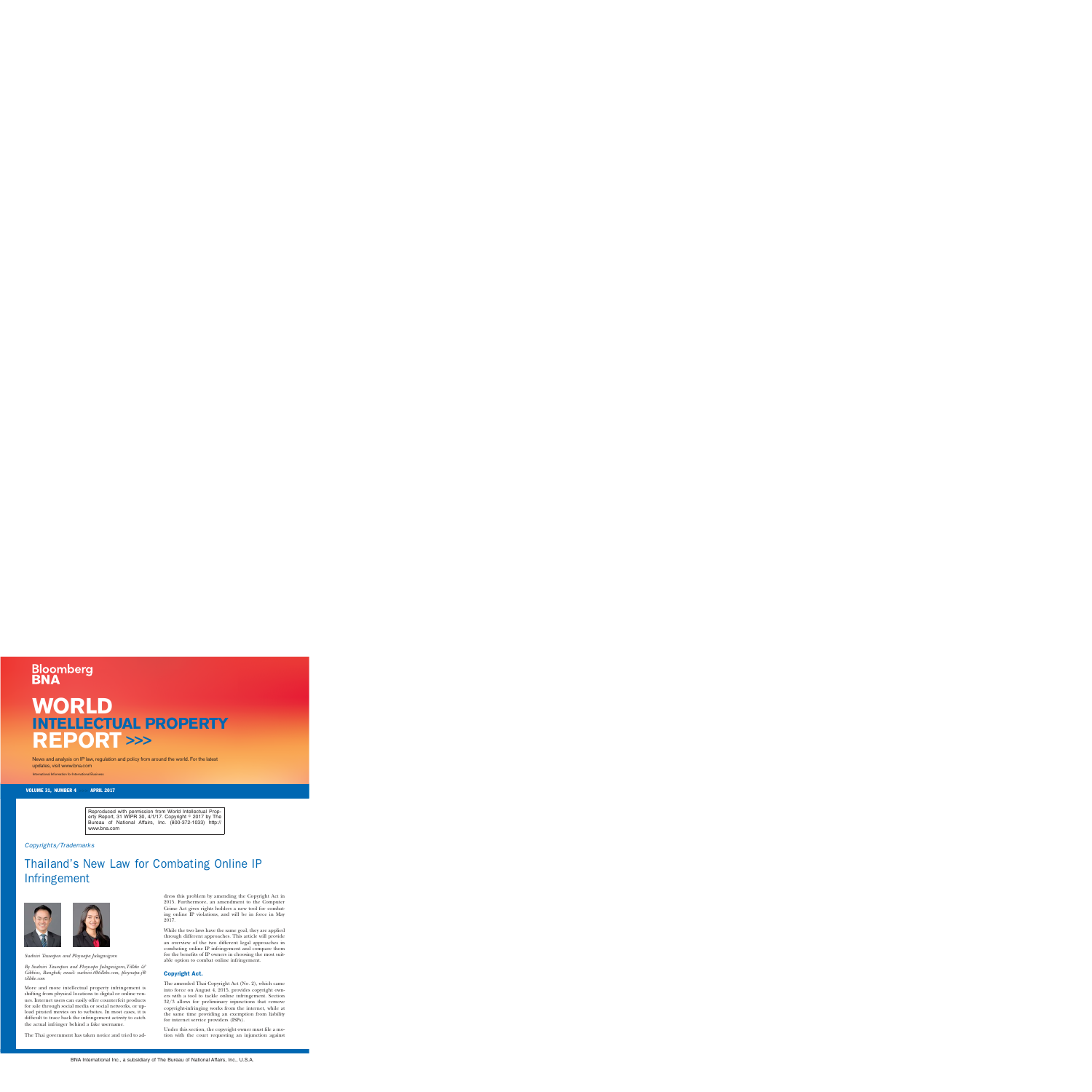# **Bloomberg**

## **WORLD INTELLECTUAL PROPERTY REPORT >>>**

News and analysis on IP law, regulation and policy from around the world. For the latest updates, visit www.bna.com

International Information for International Business

VOLUME 31, NUMBER 4 >>> APRIL 2017

Reproduced with permission from World Intellectual Property Report, 31 WIPR 30, 4/1/17. Copyright © 2017 by The Bureau of National Affairs, Inc. (800-372-1033) http:// www.bna.com

#### Copyrights/Trademarks

### Thailand's New Law for Combating Online IP Infringement





*Suebsiri Taweepon and Ploynapa Julagasigorn*

*By Suebsiri Taweepon and Ploynapa Julagasigorn,Tilleke & Gibbins, Bangkok; email: [suebsiri.t@tilleke.com,](mailto:suebsiri.t@tilleke.com) [ploynapa.j@](mailto:ploynapa.j@tilleke.com) [tilleke.com](mailto:ploynapa.j@tilleke.com)*

More and more intellectual property infringement is shifting from physical locations to digital or online venues. Internet users can easily offer counterfeit products for sale through social media or social networks, or upload pirated movies on to websites. In most cases, it is difficult to trace back the infringement activity to catch the actual infringer behind a fake username.

The Thai government has taken notice and tried to ad-

dress this problem by amending the Copyright Act in 2015. Furthermore, an amendment to the Computer Crime Act gives rights holders a new tool for combating online IP violations, and will be in force in May 2017.

While the two laws have the same goal, they are applied through different approaches. This article will provide an overview of the two different legal approaches in combating online IP infringement and compare them for the benefits of IP owners in choosing the most suitable option to combat online infringement.

#### Copyright Act.

The amended Thai Copyright Act (No. 2), which came into force on August 4, 2015, provides copyright owners with a tool to tackle online infringement. Section 32/3 allows for preliminary injunctions that remove copyright-infringing works from the internet, while at the same time providing an exemption from liability for internet service providers (ISPs).

Under this section, the copyright owner must file a motion with the court requesting an injunction against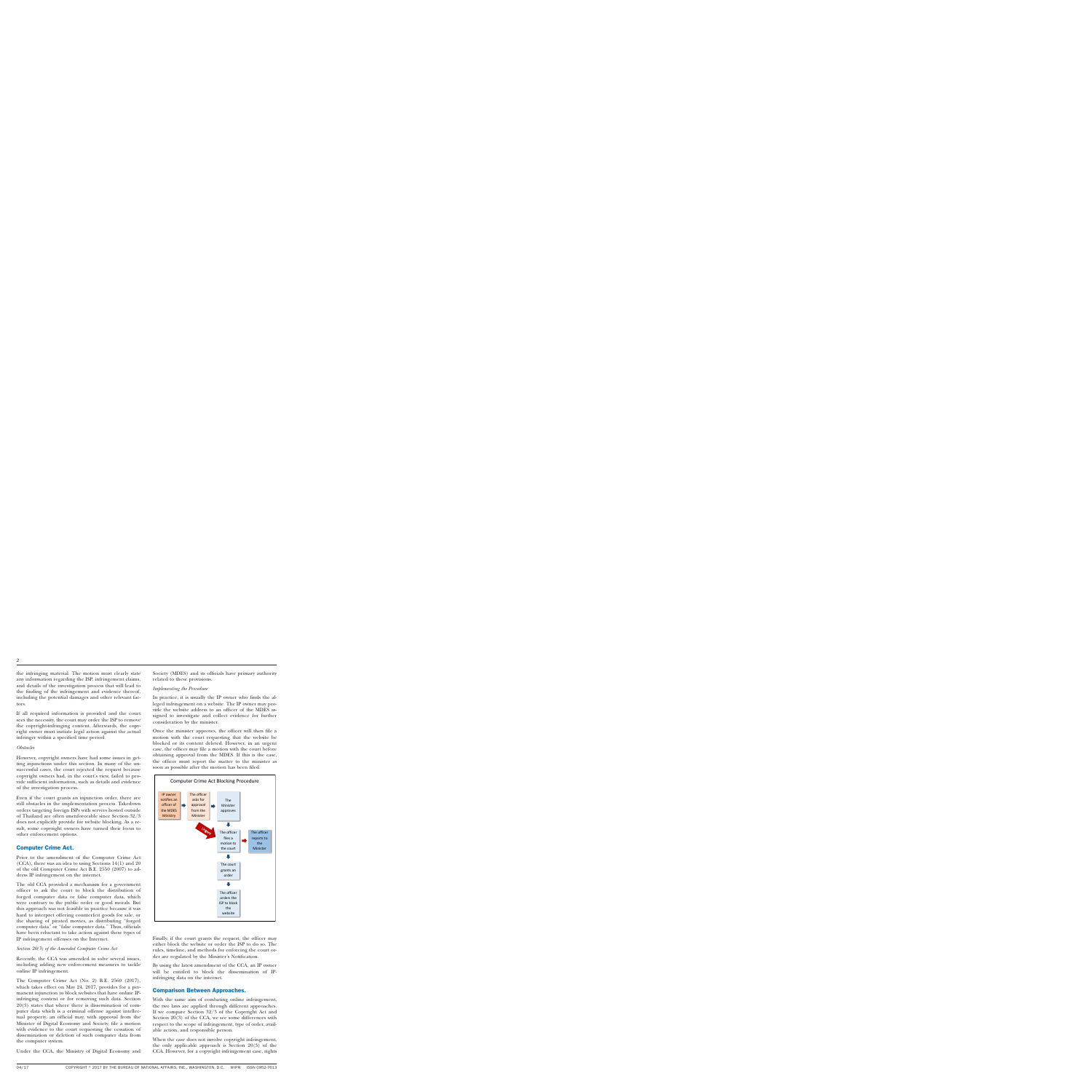the infringing material. The motion must clearly state any information regarding the ISP, infringement claims, and details of the investigation process that will lead to the finding of the infringement and evidence thereof, including the potential damages and other relevant factors.

If all required information is provided and the court sees the necessity, the court may order the ISP to remove the copyright-infringing content. Afterwards, the copyright owner must initiate legal action against the actual infringer within a specified time period.

#### *Obstacles*

However, copyright owners have had some issues in getting injunctions under this section. In many of the unsuccessful cases, the court rejected the request because copyright owners had, in the court's view, failed to provide sufficient information, such as details and evidence of the investigation process.

Even if the court grants an injunction order, there are still obstacles in the implementation process. Takedown orders targeting foreign ISPs with servers hosted outside of Thailand are often unenforceable since Section 32/3 does not explicitly provide for website blocking. As a result, some copyright owners have turned their focus to other enforcement options.

#### Computer Crime Act.

Prior to the amendment of the Computer Crime Act (CCA), there was an idea to using Sections 14(1) and 20 of the old Computer Crime Act B.E. 2550 (2007) to address IP infringement on the internet.

The old CCA provided a mechanism for a government officer to ask the court to block the distribution of forged computer data or false computer data, which were contrary to the public order or good morals. But this approach was not feasible in practice because it was hard to interpret offering counterfeit goods for sale, or the sharing of pirated movies, as distributing ''forged computer data'' or ''false computer data.'' Thus, officials have been reluctant to take action against these types of IP infringement offenses on the Internet.

*Section 20(3) of the Amended Computer Crime Act*

Recently, the CCA was amended to solve several issues, including adding new enforcement measures to tackle online IP infringement.

The Computer Crime Act (No. 2) B.E. 2560 (2017), which takes effect on May 24, 2017, provides for a permanent injunction to block websites that have online IPinfringing content or for removing such data. Section 20(3) states that where there is dissemination of computer data which is a criminal offense against intellectual property, an official may, with approval from the Minister of Digital Economy and Society, file a motion with evidence to the court requesting the cessation of dissemination or deletion of such computer data from the computer system.

Under the CCA, the Ministry of Digital Economy and

Society (MDES) and its officials have primary authority related to these provisions.

#### *Implementing the Procedure*

In practice, it is usually the IP owner who finds the alleged infringement on a website. The IP owner may provide the website address to an officer of the MDES assigned to investigate and collect evidence for further consideration by the minister.

Once the minister approves, the officer will then file a motion with the court requesting that the website be blocked or its content deleted. However, in an urgent case, the officer may file a motion with the court before obtaining approval from the MDES. If this is the case, the officer must report the matter to the minister as soon as possible after the motion has been filed.



Finally, if the court grants the request, the officer may either block the website or order the ISP to do so. The rules, timeline, and methods for enforcing the court order are regulated by the Minister's Notification.

By using the latest amendment of the CCA, an IP owner will be entitled to block the dissemination of IPinfringing data on the internet.

#### Comparison Between Approaches.

With the same aim of combating online infringement, the two laws are applied through different approaches. If we compare Section 32/3 of the Copyright Act and Section 20(3) of the CCA, we see some differences with respect to the scope of infringement, type of order, available action, and responsible person.

When the case does not involve copyright infringement, the only applicable approach is Section 20(3) of the CCA. However, for a copyright infringement case, rights